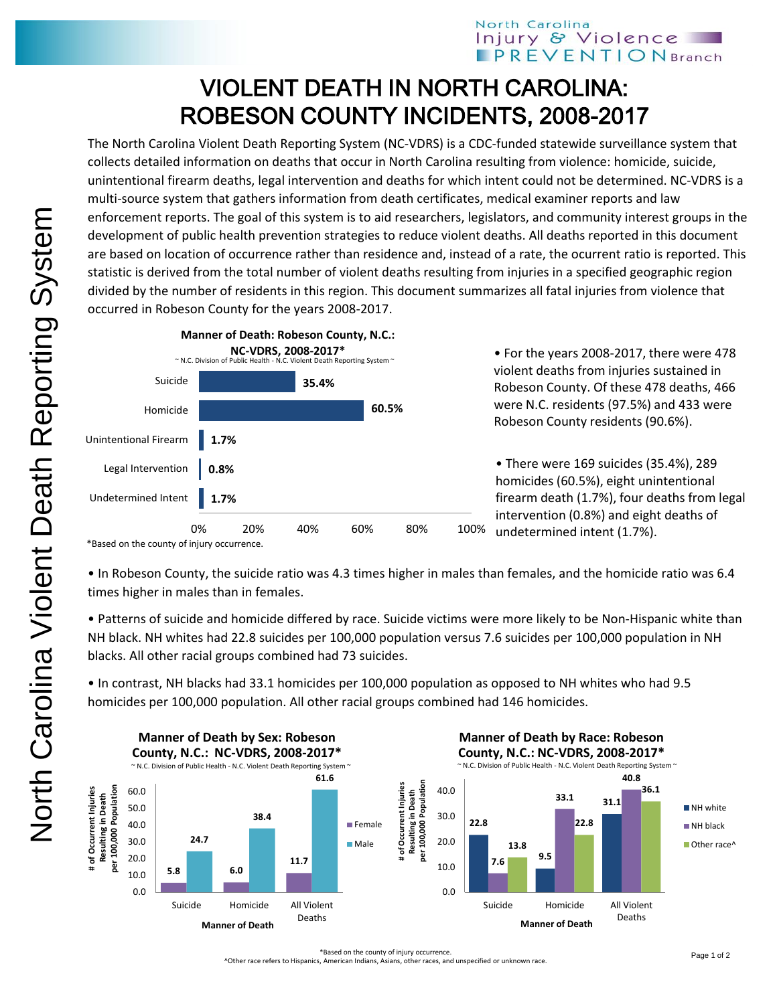## North Carolina Injury & Violence **PREVENTIONBranch**

## VIOLENT DEATH IN NORTH CAROLINA: ROBESON COUNTY INCIDENTS, 2008-2017

The North Carolina Violent Death Reporting System (NC-VDRS) is a CDC-funded statewide surveillance system that collects detailed information on deaths that occur in North Carolina resulting from violence: homicide, suicide, unintentional firearm deaths, legal intervention and deaths for which intent could not be determined. NC-VDRS is a multi-source system that gathers information from death certificates, medical examiner reports and law enforcement reports. The goal of this system is to aid researchers, legislators, and community interest groups in the development of public health prevention strategies to reduce violent deaths. All deaths reported in this document are based on location of occurrence rather than residence and, instead of a rate, the ocurrent ratio is reported. This statistic is derived from the total number of violent deaths resulting from injuries in a specified geographic region divided by the number of residents in this region. This document summarizes all fatal injuries from violence that occurred in Robeson County for the years 2008-2017.



• For the years 2008-2017, there were 478 violent deaths from injuries sustained in Robeson County. Of these 478 deaths, 466 were N.C. residents (97.5%) and 433 were Robeson County residents (90.6%).

• There were 169 suicides (35.4%), 289 homicides (60.5%), eight unintentional firearm death (1.7%), four deaths from legal intervention (0.8%) and eight deaths of undetermined intent (1.7%).

• In Robeson County, the suicide ratio was 4.3 times higher in males than females, and the homicide ratio was 6.4 times higher in males than in females.

• Patterns of suicide and homicide differed by race. Suicide victims were more likely to be Non-Hispanic white than NH black. NH whites had 22.8 suicides per 100,000 population versus 7.6 suicides per 100,000 population in NH blacks. All other racial groups combined had 73 suicides.

• In contrast, NH blacks had 33.1 homicides per 100,000 population as opposed to NH whites who had 9.5 homicides per 100,000 population. All other racial groups combined had 146 homicides.



^Other race refers to Hispanics, American Indians, Asians, other races, and unspecified or unknown race.

<sup>\*</sup>Based on the county of injury occurrence.